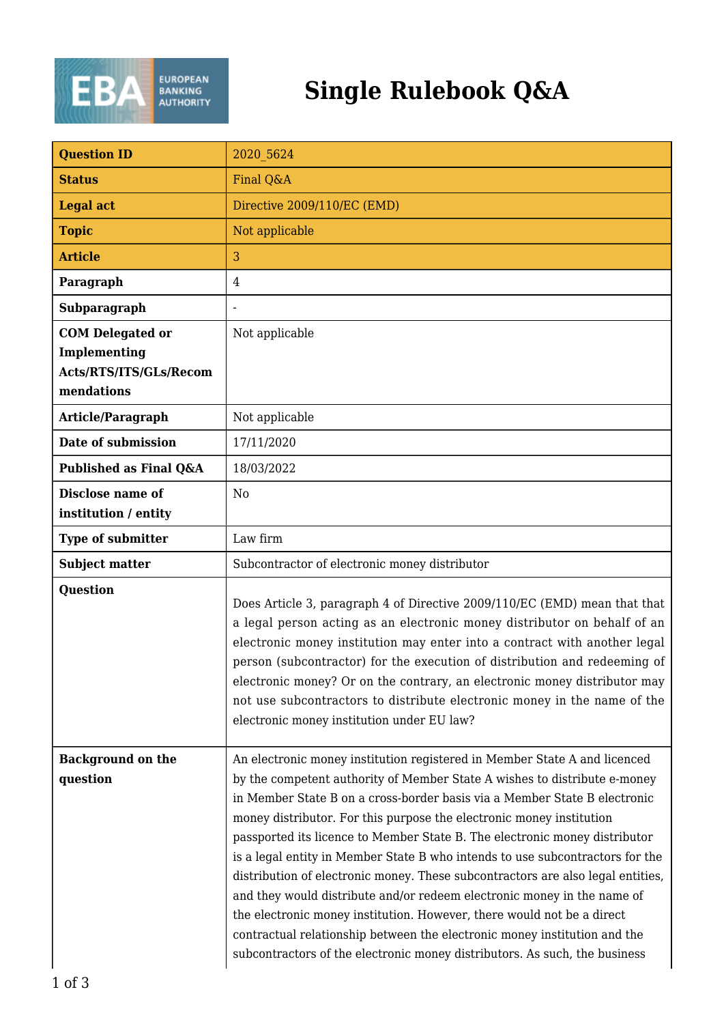

## **Single Rulebook Q&A**

| <b>Question ID</b>                                                              | 2020 5624                                                                                                                                                                                                                                                                                                                                                                                    |
|---------------------------------------------------------------------------------|----------------------------------------------------------------------------------------------------------------------------------------------------------------------------------------------------------------------------------------------------------------------------------------------------------------------------------------------------------------------------------------------|
| <b>Status</b>                                                                   | Final Q&A                                                                                                                                                                                                                                                                                                                                                                                    |
| <b>Legal act</b>                                                                | Directive 2009/110/EC (EMD)                                                                                                                                                                                                                                                                                                                                                                  |
| <b>Topic</b>                                                                    | Not applicable                                                                                                                                                                                                                                                                                                                                                                               |
| <b>Article</b>                                                                  | 3                                                                                                                                                                                                                                                                                                                                                                                            |
| Paragraph                                                                       | $\overline{4}$                                                                                                                                                                                                                                                                                                                                                                               |
| Subparagraph                                                                    | $\blacksquare$                                                                                                                                                                                                                                                                                                                                                                               |
| <b>COM Delegated or</b><br>Implementing<br>Acts/RTS/ITS/GLs/Recom<br>mendations | Not applicable                                                                                                                                                                                                                                                                                                                                                                               |
| <b>Article/Paragraph</b>                                                        | Not applicable                                                                                                                                                                                                                                                                                                                                                                               |
| Date of submission                                                              | 17/11/2020                                                                                                                                                                                                                                                                                                                                                                                   |
| Published as Final Q&A                                                          | 18/03/2022                                                                                                                                                                                                                                                                                                                                                                                   |
| Disclose name of<br>institution / entity                                        | N <sub>0</sub>                                                                                                                                                                                                                                                                                                                                                                               |
| <b>Type of submitter</b>                                                        | Law firm                                                                                                                                                                                                                                                                                                                                                                                     |
| <b>Subject matter</b>                                                           | Subcontractor of electronic money distributor                                                                                                                                                                                                                                                                                                                                                |
| <b>Question</b>                                                                 | Does Article 3, paragraph 4 of Directive 2009/110/EC (EMD) mean that that<br>a legal person acting as an electronic money distributor on behalf of an<br>electronic money institution may enter into a contract with another legal<br>person (subcontractor) for the execution of distribution and redeeming of<br>electronic money? Or on the contrary, an electronic money distributor may |
|                                                                                 | not use subcontractors to distribute electronic money in the name of the<br>electronic money institution under EU law?                                                                                                                                                                                                                                                                       |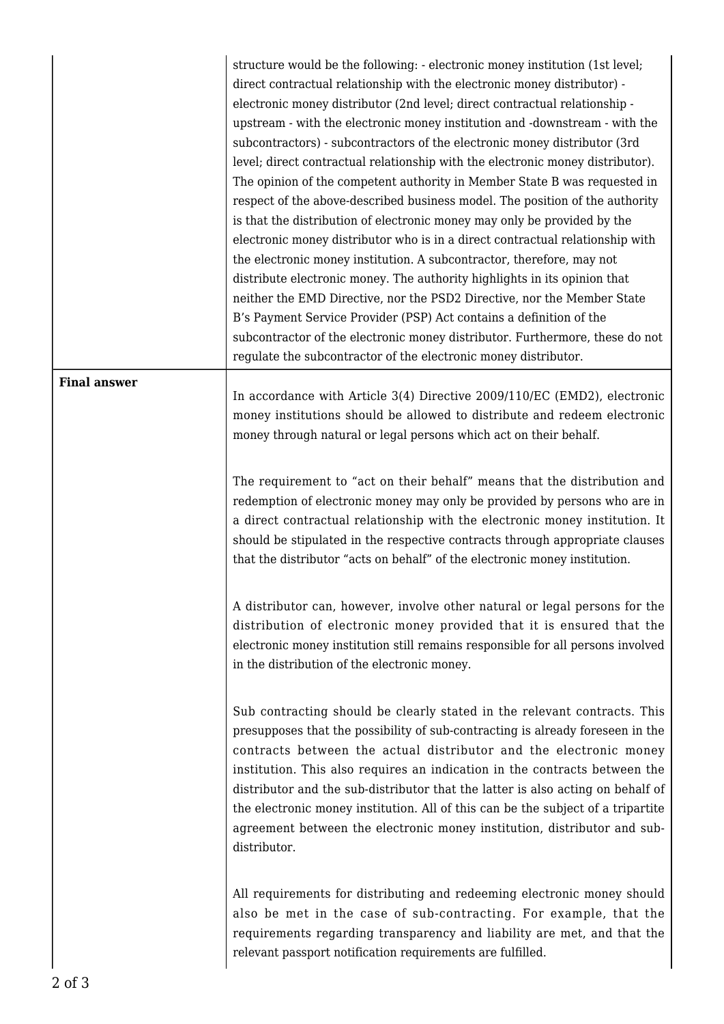structure would be the following: - electronic money institution (1st level; direct contractual relationship with the electronic money distributor) electronic money distributor (2nd level; direct contractual relationship upstream - with the electronic money institution and -downstream - with the subcontractors) - subcontractors of the electronic money distributor (3rd level; direct contractual relationship with the electronic money distributor). The opinion of the competent authority in Member State B was requested in respect of the above-described business model. The position of the authority is that the distribution of electronic money may only be provided by the electronic money distributor who is in a direct contractual relationship with the electronic money institution. A subcontractor, therefore, may not distribute electronic money. The authority highlights in its opinion that neither the EMD Directive, nor the PSD2 Directive, nor the Member State B's Payment Service Provider (PSP) Act contains a definition of the subcontractor of the electronic money distributor. Furthermore, these do not regulate the subcontractor of the electronic money distributor.

## **Final answer**

In accordance with Article 3(4) Directive 2009/110/EC (EMD2), electronic money institutions should be allowed to distribute and redeem electronic money through natural or legal persons which act on their behalf.

The requirement to "act on their behalf" means that the distribution and redemption of electronic money may only be provided by persons who are in a direct contractual relationship with the electronic money institution. It should be stipulated in the respective contracts through appropriate clauses that the distributor "acts on behalf" of the electronic money institution.

A distributor can, however, involve other natural or legal persons for the distribution of electronic money provided that it is ensured that the electronic money institution still remains responsible for all persons involved in the distribution of the electronic money.

Sub contracting should be clearly stated in the relevant contracts. This presupposes that the possibility of sub-contracting is already foreseen in the contracts between the actual distributor and the electronic money institution. This also requires an indication in the contracts between the distributor and the sub-distributor that the latter is also acting on behalf of the electronic money institution. All of this can be the subject of a tripartite agreement between the electronic money institution, distributor and subdistributor.

All requirements for distributing and redeeming electronic money should also be met in the case of sub-contracting. For example, that the requirements regarding transparency and liability are met, and that the relevant passport notification requirements are fulfilled.